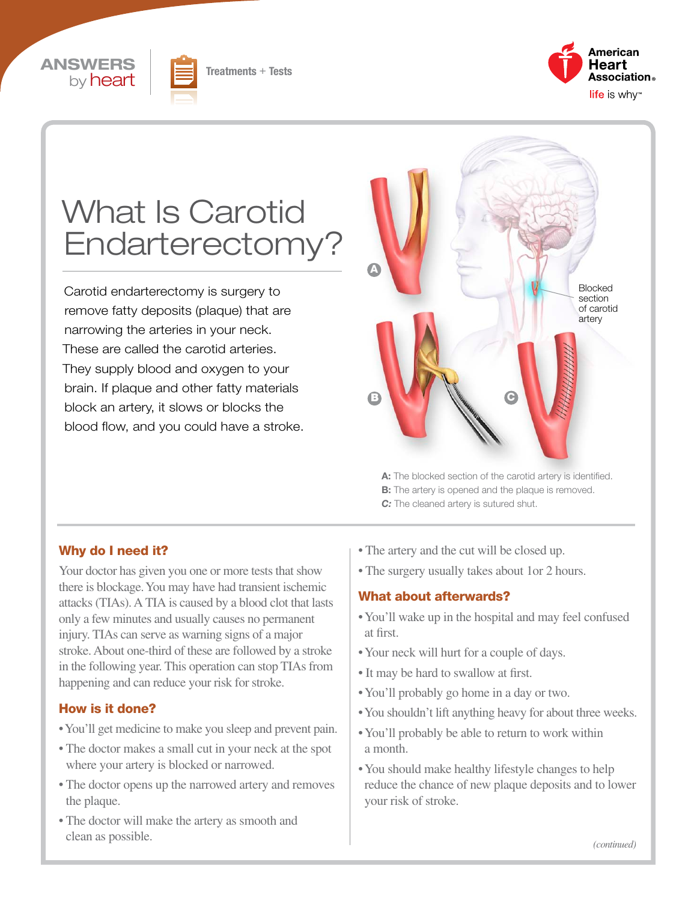





# What Is Carotid Endarterectomy?

Carotid endarterectomy is surgery to remove fatty deposits (plaque) that are narrowing the arteries in your neck. These are called the carotid arteries. They supply blood and oxygen to your brain. If plaque and other fatty materials block an artery, it slows or blocks the blood flow, and you could have a stroke.



A: The blocked section of the carotid artery is identified. **B:** The artery is opened and the plaque is removed. *C:* The cleaned artery is sutured shut.

## Why do I need it?

Your doctor has given you one or more tests that show there is blockage. You may have had transient ischemic attacks (TIAs). A TIA is caused by a blood clot that lasts only a few minutes and usually causes no permanent injury. TIAs can serve as warning signs of a major stroke. About one-third of these are followed by a stroke in the following year. This operation can stop TIAs from happening and can reduce your risk for stroke.

#### How is it done?

- You'll get medicine to make you sleep and prevent pain.
- The doctor makes a small cut in your neck at the spot where your artery is blocked or narrowed.
- The doctor opens up the narrowed artery and removes the plaque.
- The doctor will make the artery as smooth and clean as possible.
- The artery and the cut will be closed up.
- The surgery usually takes about 1or 2 hours.

#### What about afterwards?

- You'll wake up in the hospital and may feel confused at first.
- Your neck will hurt for a couple of days.
- It may be hard to swallow at first.
- You'll probably go home in a day or two.
- You shouldn't lift anything heavy for about three weeks.
- You'll probably be able to return to work within a month.
- You should make healthy lifestyle changes to help reduce the chance of new plaque deposits and to lower your risk of stroke.